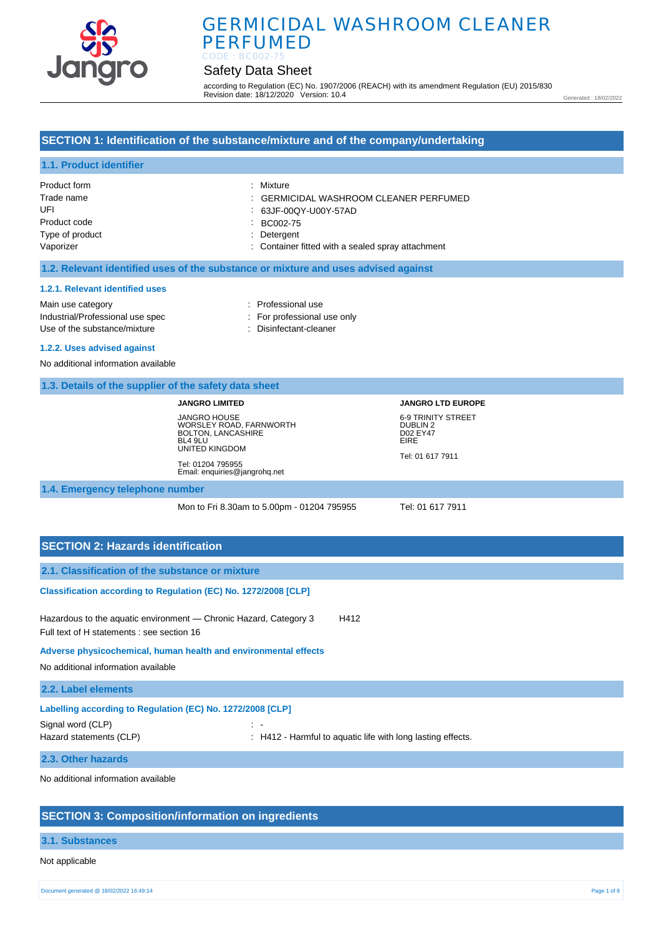

# GERMICIDAL WASHROOM CLEANER PERFUMED

#### Safety Data Sheet CODE : BC002-75

according to Regulation (EC) No. 1907/2006 (REACH) with its amendment Regulation (EU) 2015/830 Revision date: 18/12/2020 Version: 10.4

Generated : 18/02/2022

## **SECTION 1: Identification of the substance/mixture and of the company/undertaking**

### **1.1. Product identifier**

| Product form    | : Mixture                                         |
|-----------------|---------------------------------------------------|
| Trade name      | : GERMICIDAL WASHROOM CLEANER PERFUMED            |
| UFI             | : 63JF-00QY-U00Y-57AD                             |
| Product code    | BC002-75                                          |
| Type of product | : Detergent                                       |
| Vaporizer       | : Container fitted with a sealed spray attachment |

#### **1.2. Relevant identified uses of the substance or mixture and uses advised against**

#### **1.2.1. Relevant identified uses**

Main use category **interest and the COV** and the Professional use Industrial/Professional use spec : For professional use only Use of the substance/mixture in the substance/mixture in the Disinfectant-cleaner

### **1.2.2. Uses advised against**

No additional information available

|  | 1.3. Details of the supplier of the safety data sheet |  |  |
|--|-------------------------------------------------------|--|--|
|  |                                                       |  |  |

**JANGRO LIMITED** JANGRO HOUSE WORSLEY ROAD, FARNWORTH BOLTON, LANCASHIRE BL4 9LU UNITED KINGDOM Tel: 01204 795955 Email: enquiries@jangrohq.net

**JANGRO LTD EUROPE** 6-9 TRINITY STREET DUBLIN 2 D02 EY47 EIRE Tel: 01 617 7911

**1.4. Emergency telephone number**

Mon to Fri 8.30am to 5.00pm - 01204 795955 Tel: 01 617 7911

| <b>SECTION 2: Hazards identification</b>                                                                                                                                                                                                                                                                                                                                                                               |            |                                                             |
|------------------------------------------------------------------------------------------------------------------------------------------------------------------------------------------------------------------------------------------------------------------------------------------------------------------------------------------------------------------------------------------------------------------------|------------|-------------------------------------------------------------|
| 2.1. Classification of the substance or mixture                                                                                                                                                                                                                                                                                                                                                                        |            |                                                             |
| Classification according to Regulation (EC) No. 1272/2008 [CLP]                                                                                                                                                                                                                                                                                                                                                        |            |                                                             |
| Hazardous to the aquatic environment — Chronic Hazard, Category 3<br>Full text of H statements : see section 16                                                                                                                                                                                                                                                                                                        |            | H412                                                        |
| Adverse physicochemical, human health and environmental effects<br>No additional information available                                                                                                                                                                                                                                                                                                                 |            |                                                             |
| 2.2. Label elements                                                                                                                                                                                                                                                                                                                                                                                                    |            |                                                             |
| Labelling according to Regulation (EC) No. 1272/2008 [CLP]<br>Signal word (CLP)<br>Hazard statements (CLP)                                                                                                                                                                                                                                                                                                             | $\sim 100$ | : H412 - Harmful to aquatic life with long lasting effects. |
| $\mathbf{A} \mathbf{A} \mathbf{A} \mathbf{A} \mathbf{A} \mathbf{A} \mathbf{A} \mathbf{A} \mathbf{A} \mathbf{A} \mathbf{A} \mathbf{A} \mathbf{A} \mathbf{A} \mathbf{A} \mathbf{A} \mathbf{A} \mathbf{A} \mathbf{A} \mathbf{A} \mathbf{A} \mathbf{A} \mathbf{A} \mathbf{A} \mathbf{A} \mathbf{A} \mathbf{A} \mathbf{A} \mathbf{A} \mathbf{A} \mathbf{A} \mathbf{A} \mathbf{A} \mathbf{A} \mathbf{A} \mathbf{A} \mathbf{$ |            |                                                             |

**2.3. Other hazards**

No additional information available

### **SECTION 3: Composition/information on ingredients**

#### **3.1. Substances**

Not applicable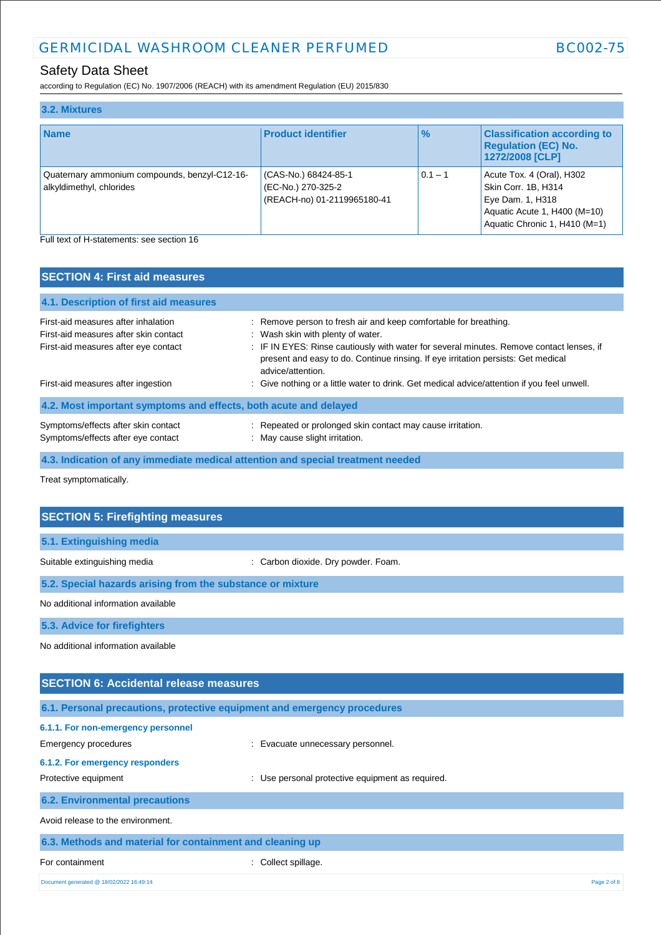# Safety Data Sheet

according to Regulation (EC) No. 1907/2006 (REACH) with its amendment Regulation (EU) 2015/830

| 3.2. Mixtures                                                             |                                                                           |               |                                                                                                                                       |
|---------------------------------------------------------------------------|---------------------------------------------------------------------------|---------------|---------------------------------------------------------------------------------------------------------------------------------------|
| <b>Name</b>                                                               | <b>Product identifier</b>                                                 | $\frac{9}{6}$ | <b>Classification according to</b><br><b>Regulation (EC) No.</b><br>1272/2008 [CLP]                                                   |
| Quaternary ammonium compounds, benzyl-C12-16-<br>alkyldimethyl, chlorides | (CAS-No.) 68424-85-1<br>(EC-No.) 270-325-2<br>(REACH-no) 01-2119965180-41 | $0.1 - 1$     | Acute Tox. 4 (Oral), H302<br>Skin Corr. 1B, H314<br>Eye Dam. 1, H318<br>Aquatic Acute 1, H400 (M=10)<br>Aquatic Chronic 1, H410 (M=1) |

Full text of H-statements: see section 16

| <b>SECTION 4: First aid measures</b>                                                                                 |                                                                                                                                                                                                                                                                                                             |
|----------------------------------------------------------------------------------------------------------------------|-------------------------------------------------------------------------------------------------------------------------------------------------------------------------------------------------------------------------------------------------------------------------------------------------------------|
| 4.1. Description of first aid measures                                                                               |                                                                                                                                                                                                                                                                                                             |
| First-aid measures after inhalation<br>First-aid measures after skin contact<br>First-aid measures after eye contact | : Remove person to fresh air and keep comfortable for breathing.<br>: Wash skin with plenty of water.<br>: IF IN EYES: Rinse cautiously with water for several minutes. Remove contact lenses, if<br>present and easy to do. Continue rinsing. If eye irritation persists: Get medical<br>advice/attention. |
| First-aid measures after ingestion                                                                                   | : Give nothing or a little water to drink. Get medical advice/attention if you feel unwell.                                                                                                                                                                                                                 |
| 4.2. Most important symptoms and effects, both acute and delayed                                                     |                                                                                                                                                                                                                                                                                                             |
| Symptoms/effects after skin contact<br>Symptoms/effects after eye contact                                            | : Repeated or prolonged skin contact may cause irritation.<br>: May cause slight irritation.                                                                                                                                                                                                                |
|                                                                                                                      | 4.3. Indication of any immediate medical attention and special treatment needed                                                                                                                                                                                                                             |

Treat symptomatically.

| <b>SECTION 5: Firefighting measures</b>                    |                                     |
|------------------------------------------------------------|-------------------------------------|
| 5.1. Extinguishing media                                   |                                     |
| Suitable extinguishing media                               | : Carbon dioxide. Dry powder. Foam. |
| 5.2. Special hazards arising from the substance or mixture |                                     |
| No additional information available                        |                                     |
| 5.3. Advice for firefighters                               |                                     |
| No additional information available                        |                                     |
|                                                            |                                     |
| <b>SECTION 6: Accidental release measures</b>              |                                     |

|                                                           | 6.1. Personal precautions, protective equipment and emergency procedures |             |
|-----------------------------------------------------------|--------------------------------------------------------------------------|-------------|
| 6.1.1. For non-emergency personnel                        |                                                                          |             |
| Emergency procedures                                      | : Evacuate unnecessary personnel.                                        |             |
| 6.1.2. For emergency responders                           |                                                                          |             |
| Protective equipment                                      | : Use personal protective equipment as required.                         |             |
| <b>6.2. Environmental precautions</b>                     |                                                                          |             |
| Avoid release to the environment.                         |                                                                          |             |
| 6.3. Methods and material for containment and cleaning up |                                                                          |             |
| For containment                                           | Collect spillage.                                                        |             |
| Document generated @ 18/02/2022 16:49:14                  |                                                                          | Page 2 of 8 |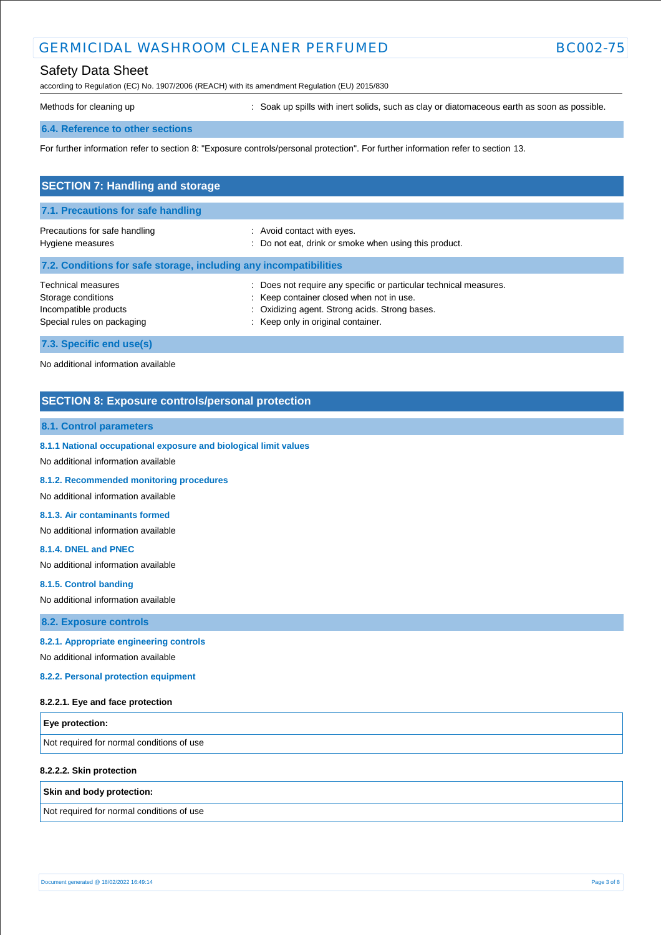# Safety Data Sheet

according to Regulation (EC) No. 1907/2006 (REACH) with its amendment Regulation (EU) 2015/830

Methods for cleaning up **interpret in the spills** with inert solids, such as clay or diatomaceous earth as soon as possible.

#### **6.4. Reference to other sections**

For further information refer to section 8: "Exposure controls/personal protection". For further information refer to section 13.

| <b>SECTION 7: Handling and storage</b>                                                                 |                                                                                                                                                                                                   |
|--------------------------------------------------------------------------------------------------------|---------------------------------------------------------------------------------------------------------------------------------------------------------------------------------------------------|
| 7.1. Precautions for safe handling                                                                     |                                                                                                                                                                                                   |
| Precautions for safe handling<br>Hygiene measures                                                      | : Avoid contact with eyes.<br>: Do not eat, drink or smoke when using this product.                                                                                                               |
| 7.2. Conditions for safe storage, including any incompatibilities                                      |                                                                                                                                                                                                   |
| <b>Technical measures</b><br>Storage conditions<br>Incompatible products<br>Special rules on packaging | Does not require any specific or particular technical measures.<br>: Keep container closed when not in use.<br>: Oxidizing agent. Strong acids. Strong bases.<br>Keep only in original container. |
| 7.3. Specific end use(s)                                                                               |                                                                                                                                                                                                   |

No additional information available

### **SECTION 8: Exposure controls/personal protection**

#### **8.1. Control parameters**

**8.1.1 National occupational exposure and biological limit values** 

No additional information available

**8.1.2. Recommended monitoring procedures** 

No additional information available

#### **8.1.3. Air contaminants formed**

No additional information available

#### **8.1.4. DNEL and PNEC**

No additional information available

**8.1.5. Control banding** 

No additional information available

**8.2. Exposure controls**

#### **8.2.1. Appropriate engineering controls**

No additional information available

**8.2.2. Personal protection equipment** 

#### **8.2.2.1. Eye and face protection**

| <b>Eye protection:</b>                    |  |
|-------------------------------------------|--|
| Not required for normal conditions of use |  |

#### **8.2.2.2. Skin protection**

#### **Skin and body protection:**

Not required for normal conditions of use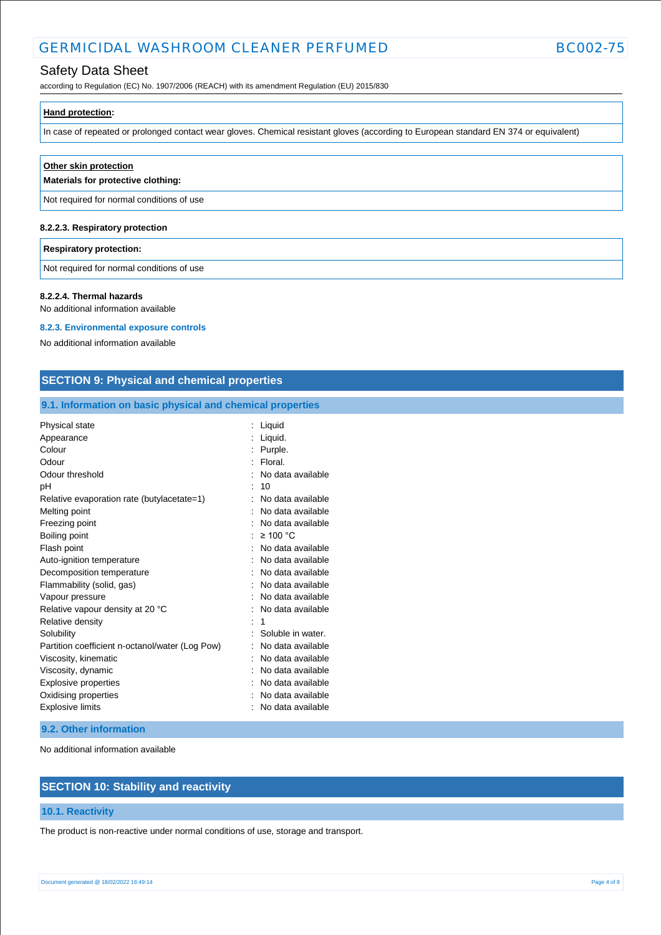# Safety Data Sheet

according to Regulation (EC) No. 1907/2006 (REACH) with its amendment Regulation (EU) 2015/830

| <b>Hand protection:</b> |
|-------------------------|
|                         |

In case of repeated or prolonged contact wear gloves. Chemical resistant gloves (according to European standard EN 374 or equivalent)

| Other skin protection<br>Materials for protective clothing: |  |
|-------------------------------------------------------------|--|
| Not required for normal conditions of use                   |  |
| 8.2.2.3. Respiratory protection                             |  |

#### **Respiratory protection:**

Not required for normal conditions of use

#### **8.2.2.4. Thermal hazards**

No additional information available

#### **8.2.3. Environmental exposure controls**

No additional information available

### **SECTION 9: Physical and chemical properties**

## **9.1. Information on basic physical and chemical properties**

| Physical state                                  | Liquid            |
|-------------------------------------------------|-------------------|
| Appearance                                      | Liquid.           |
| Colour                                          | Purple.           |
| Odour                                           | Floral.           |
| Odour threshold                                 | No data available |
| рH                                              | 10                |
| Relative evaporation rate (butylacetate=1)      | No data available |
| Melting point                                   | No data available |
| Freezing point                                  | No data available |
| Boiling point                                   | $\geq 100$ °C     |
| Flash point                                     | No data available |
| Auto-ignition temperature                       | No data available |
| Decomposition temperature                       | No data available |
| Flammability (solid, gas)                       | No data available |
| Vapour pressure                                 | No data available |
| Relative vapour density at 20 °C                | No data available |
| Relative density                                | 1                 |
| Solubility                                      | Soluble in water. |
| Partition coefficient n-octanol/water (Log Pow) | No data available |
| Viscosity, kinematic                            | No data available |
| Viscosity, dynamic                              | No data available |
| <b>Explosive properties</b>                     | No data available |
| Oxidising properties                            | No data available |
| <b>Explosive limits</b>                         | No data available |

#### **9.2. Other information**

No additional information available

## **SECTION 10: Stability and reactivity**

### **10.1. Reactivity**

The product is non-reactive under normal conditions of use, storage and transport.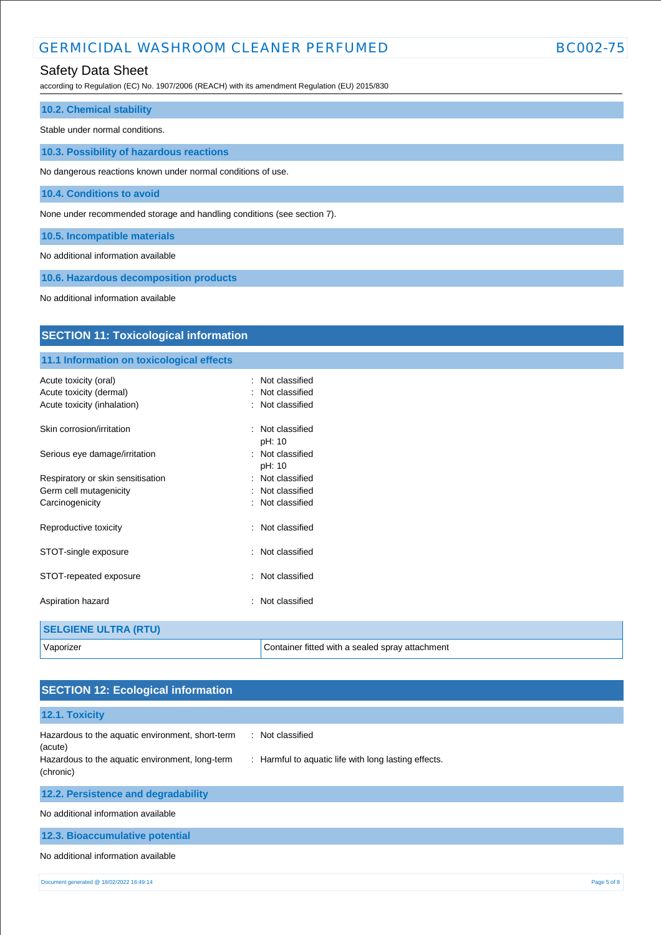# Safety Data Sheet

according to Regulation (EC) No. 1907/2006 (REACH) with its amendment Regulation (EU) 2015/830

| <b>10.2. Chemical stability</b>                                         |
|-------------------------------------------------------------------------|
| Stable under normal conditions.                                         |
| 10.3. Possibility of hazardous reactions                                |
| No dangerous reactions known under normal conditions of use.            |
| 10.4. Conditions to avoid                                               |
| None under recommended storage and handling conditions (see section 7). |
| 10.5. Incompatible materials                                            |
| No additional information available                                     |

**10.6. Hazardous decomposition products**

No additional information available

| <b>SECTION 11: Toxicological information</b>           |                                                 |  |  |
|--------------------------------------------------------|-------------------------------------------------|--|--|
| 11.1 Information on toxicological effects              |                                                 |  |  |
| Acute toxicity (oral)                                  | : Not classified                                |  |  |
| Acute toxicity (dermal)<br>Acute toxicity (inhalation) | Not classified<br>Not classified                |  |  |
|                                                        |                                                 |  |  |
| Skin corrosion/irritation                              | : Not classified                                |  |  |
|                                                        | pH: 10                                          |  |  |
| Serious eye damage/irritation                          | : Not classified                                |  |  |
|                                                        | pH: 10                                          |  |  |
| Respiratory or skin sensitisation                      | Not classified                                  |  |  |
| Germ cell mutagenicity                                 | Not classified                                  |  |  |
| Carcinogenicity                                        | Not classified                                  |  |  |
| Reproductive toxicity                                  | Not classified<br>ж.                            |  |  |
| STOT-single exposure                                   | : Not classified                                |  |  |
| STOT-repeated exposure                                 | : Not classified                                |  |  |
| Aspiration hazard                                      | Not classified                                  |  |  |
| <b>SELGIENE ULTRA (RTU)</b>                            |                                                 |  |  |
| Vaporizer                                              | Container fitted with a sealed spray attachment |  |  |

| <b>SECTION 12: Ecological information</b>                                                                                   |                                                                          |
|-----------------------------------------------------------------------------------------------------------------------------|--------------------------------------------------------------------------|
| 12.1. Toxicity                                                                                                              |                                                                          |
| Hazardous to the aquatic environment, short-term<br>(acute)<br>Hazardous to the aquatic environment, long-term<br>(chronic) | : Not classified<br>: Harmful to aquatic life with long lasting effects. |
| 12.2. Persistence and degradability                                                                                         |                                                                          |
| No additional information available                                                                                         |                                                                          |
| 12.3. Bioaccumulative potential                                                                                             |                                                                          |
| No additional information available                                                                                         |                                                                          |
| Document generated @ 18/02/2022 16:49:14                                                                                    | Page 5 of 8                                                              |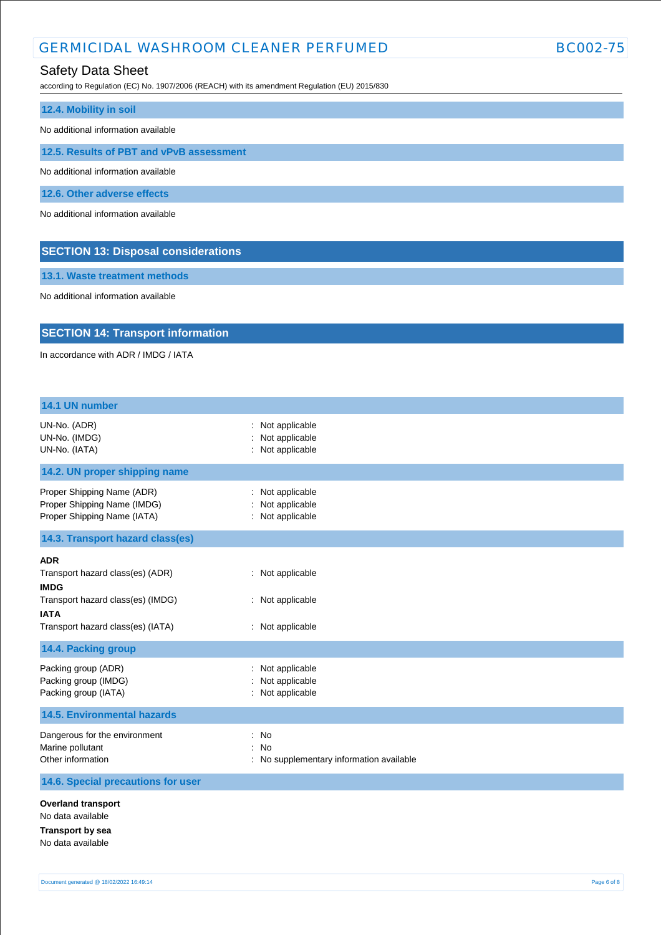# Safety Data Sheet

according to Regulation (EC) No. 1907/2006 (REACH) with its amendment Regulation (EU) 2015/830

| 12.4. Mobility in soil                   |
|------------------------------------------|
| No additional information available      |
| 12.5. Results of PBT and vPvB assessment |
| No additional information available      |
| 12.6. Other adverse effects              |
| No additional information available      |

**13.1. Waste treatment methods**

**SECTION 13: Disposal considerations**

No additional information available

# **SECTION 14: Transport information**

In accordance with ADR / IMDG / IATA

| 14.1 UN number                                                                                                                                         |                                                          |
|--------------------------------------------------------------------------------------------------------------------------------------------------------|----------------------------------------------------------|
| UN-No. (ADR)<br>UN-No. (IMDG)<br>UN-No. (IATA)                                                                                                         | : Not applicable<br>Not applicable<br>: Not applicable   |
| 14.2. UN proper shipping name                                                                                                                          |                                                          |
| Proper Shipping Name (ADR)<br>Proper Shipping Name (IMDG)<br>Proper Shipping Name (IATA)                                                               | : Not applicable<br>Not applicable<br>: Not applicable   |
| 14.3. Transport hazard class(es)                                                                                                                       |                                                          |
| <b>ADR</b><br>Transport hazard class(es) (ADR)<br><b>IMDG</b><br>Transport hazard class(es) (IMDG)<br><b>IATA</b><br>Transport hazard class(es) (IATA) | : Not applicable<br>: Not applicable<br>: Not applicable |
| 14.4. Packing group                                                                                                                                    |                                                          |
| Packing group (ADR)<br>Packing group (IMDG)<br>Packing group (IATA)                                                                                    | Not applicable<br>Not applicable<br>: Not applicable     |
| <b>14.5. Environmental hazards</b>                                                                                                                     |                                                          |
| Dangerous for the environment<br>Marine pollutant<br>Other information                                                                                 | : No<br>: No<br>: No supplementary information available |
| 14.6. Special precautions for user                                                                                                                     |                                                          |
| <b>Overland transport</b><br>No data available<br><b>Transport by sea</b><br>No data available                                                         |                                                          |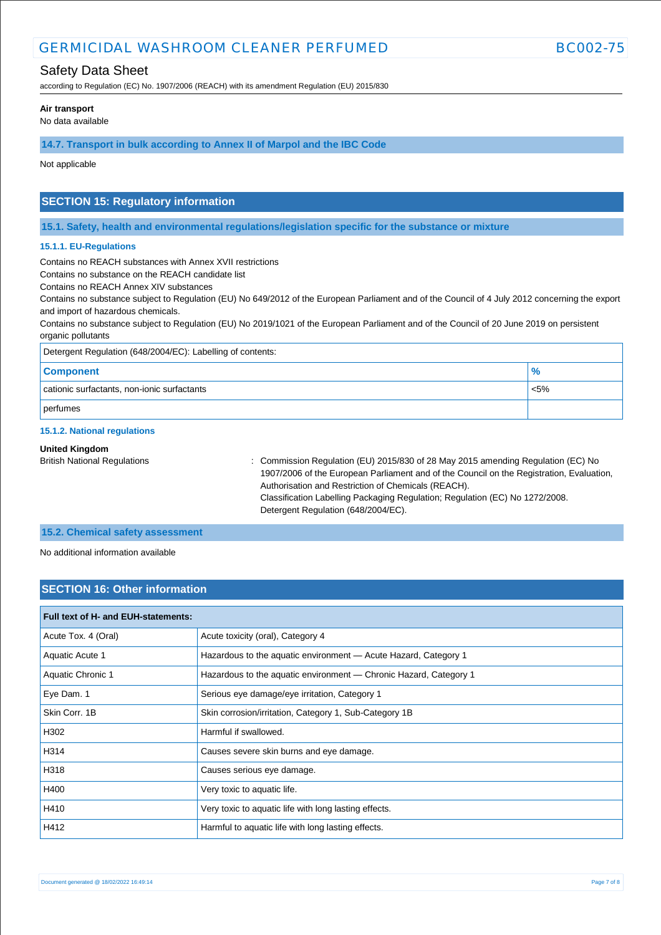## Safety Data Sheet

according to Regulation (EC) No. 1907/2006 (REACH) with its amendment Regulation (EU) 2015/830

#### **Air transport**

No data available

**14.7. Transport in bulk according to Annex II of Marpol and the IBC Code**

Not applicable

## **SECTION 15: Regulatory information**

**15.1. Safety, health and environmental regulations/legislation specific for the substance or mixture**

#### **15.1.1. EU-Regulations**

Contains no REACH substances with Annex XVII restrictions

Contains no substance on the REACH candidate list

Contains no REACH Annex XIV substances

Contains no substance subject to Regulation (EU) No 649/2012 of the European Parliament and of the Council of 4 July 2012 concerning the export and import of hazardous chemicals.

Contains no substance subject to Regulation (EU) No 2019/1021 of the European Parliament and of the Council of 20 June 2019 on persistent organic pollutants

| Detergent Regulation (648/2004/EC): Labelling of contents: |               |  |
|------------------------------------------------------------|---------------|--|
| <b>Component</b>                                           | $\frac{9}{6}$ |  |
| cationic surfactants, non-ionic surfactants                | $< 5\%$       |  |
| perfumes                                                   |               |  |

#### **15.1.2. National regulations**

#### **United Kingdom**

British National Regulations : Commission Regulation (EU) 2015/830 of 28 May 2015 amending Regulation (EC) No 1907/2006 of the European Parliament and of the Council on the Registration, Evaluation, Authorisation and Restriction of Chemicals (REACH). Classification Labelling Packaging Regulation; Regulation (EC) No 1272/2008. Detergent Regulation (648/2004/EC).

#### **15.2. Chemical safety assessment**

No additional information available

## **SECTION 16: Other information**

| Full text of H- and EUH-statements: |                                                                   |  |  |  |
|-------------------------------------|-------------------------------------------------------------------|--|--|--|
| Acute Tox. 4 (Oral)                 | Acute toxicity (oral), Category 4                                 |  |  |  |
| Aquatic Acute 1                     | Hazardous to the aquatic environment - Acute Hazard, Category 1   |  |  |  |
| Aquatic Chronic 1                   | Hazardous to the aquatic environment - Chronic Hazard, Category 1 |  |  |  |
| Eye Dam. 1                          | Serious eye damage/eye irritation, Category 1                     |  |  |  |
| Skin Corr. 1B                       | Skin corrosion/irritation, Category 1, Sub-Category 1B            |  |  |  |
| H302                                | Harmful if swallowed.                                             |  |  |  |
| H314                                | Causes severe skin burns and eye damage.                          |  |  |  |
| H318                                | Causes serious eye damage.                                        |  |  |  |
| H400                                | Very toxic to aquatic life.                                       |  |  |  |
| H410                                | Very toxic to aquatic life with long lasting effects.             |  |  |  |
| H412                                | Harmful to aquatic life with long lasting effects.                |  |  |  |